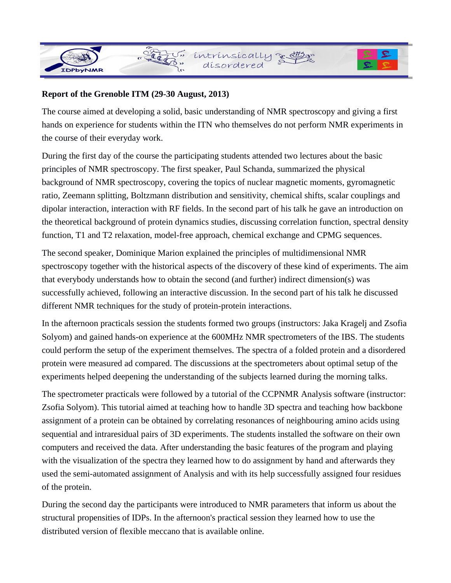## **Report of the Grenoble ITM (29-30 August, 2013)**

" Legi

The course aimed at developing a solid, basic understanding of NMR spectroscopy and giving a first hands on experience for students within the ITN who themselves do not perform NMR experiments in the course of their everyday work.

intrinsically a than

During the first day of the course the participating students attended two lectures about the basic principles of NMR spectroscopy. The first speaker, Paul Schanda, summarized the physical background of NMR spectroscopy, covering the topics of nuclear magnetic moments, gyromagnetic ratio, Zeemann splitting, Boltzmann distribution and sensitivity, chemical shifts, scalar couplings and dipolar interaction, interaction with RF fields. In the second part of his talk he gave an introduction on the theoretical background of protein dynamics studies, discussing correlation function, spectral density function, T1 and T2 relaxation, model-free approach, chemical exchange and CPMG sequences.

The second speaker, Dominique Marion explained the principles of multidimensional NMR spectroscopy together with the historical aspects of the discovery of these kind of experiments. The aim that everybody understands how to obtain the second (and further) indirect dimension(s) was successfully achieved, following an interactive discussion. In the second part of his talk he discussed different NMR techniques for the study of protein-protein interactions.

In the afternoon practicals session the students formed two groups (instructors: Jaka Kragelj and Zsofia Solyom) and gained hands-on experience at the 600MHz NMR spectrometers of the IBS. The students could perform the setup of the experiment themselves. The spectra of a folded protein and a disordered protein were measured ad compared. The discussions at the spectrometers about optimal setup of the experiments helped deepening the understanding of the subjects learned during the morning talks.

The spectrometer practicals were followed by a tutorial of the CCPNMR Analysis software (instructor: Zsofia Solyom). This tutorial aimed at teaching how to handle 3D spectra and teaching how backbone assignment of a protein can be obtained by correlating resonances of neighbouring amino acids using sequential and intraresidual pairs of 3D experiments. The students installed the software on their own computers and received the data. After understanding the basic features of the program and playing with the visualization of the spectra they learned how to do assignment by hand and afterwards they used the semi-automated assignment of Analysis and with its help successfully assigned four residues of the protein.

During the second day the participants were introduced to NMR parameters that inform us about the structural propensities of IDPs. In the afternoon's practical session they learned how to use the distributed version of flexible meccano that is available online.